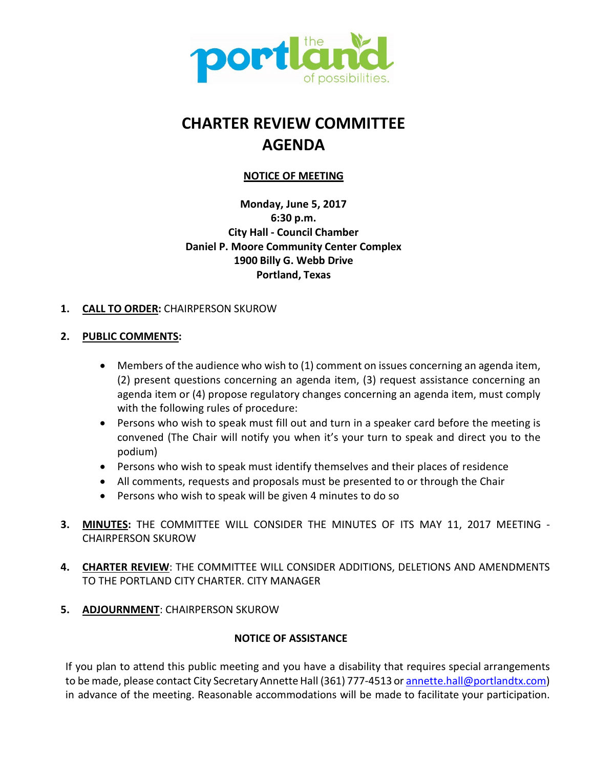

# **CHARTER REVIEW COMMITTEE AGENDA**

# **NOTICE OF MEETING**

**Monday, June 5, 2017 6:30 p.m. City Hall - Council Chamber Daniel P. Moore Community Center Complex 1900 Billy G. Webb Drive Portland, Texas**

## **1. CALL TO ORDER:** CHAIRPERSON SKUROW

## **2. PUBLIC COMMENTS:**

- Members of the audience who wish to (1) comment on issues concerning an agenda item, (2) present questions concerning an agenda item, (3) request assistance concerning an agenda item or (4) propose regulatory changes concerning an agenda item, must comply with the following rules of procedure:
- Persons who wish to speak must fill out and turn in a speaker card before the meeting is convened (The Chair will notify you when it's your turn to speak and direct you to the podium)
- Persons who wish to speak must identify themselves and their places of residence
- All comments, requests and proposals must be presented to or through the Chair
- Persons who wish to speak will be given 4 minutes to do so
- **3. MINUTES:** THE COMMITTEE WILL CONSIDER THE MINUTES OF ITS MAY 11, 2017 MEETING CHAIRPERSON SKUROW
- **4. CHARTER REVIEW**: THE COMMITTEE WILL CONSIDER ADDITIONS, DELETIONS AND AMENDMENTS TO THE PORTLAND CITY CHARTER. CITY MANAGER
- **5. ADJOURNMENT**: CHAIRPERSON SKUROW

## **NOTICE OF ASSISTANCE**

If you plan to attend this public meeting and you have a disability that requires special arrangements to be made, please contact City Secretary Annette Hall (361) 777-4513 or annette.hall@portlandtx.com) in advance of the meeting. Reasonable accommodations will be made to facilitate your participation.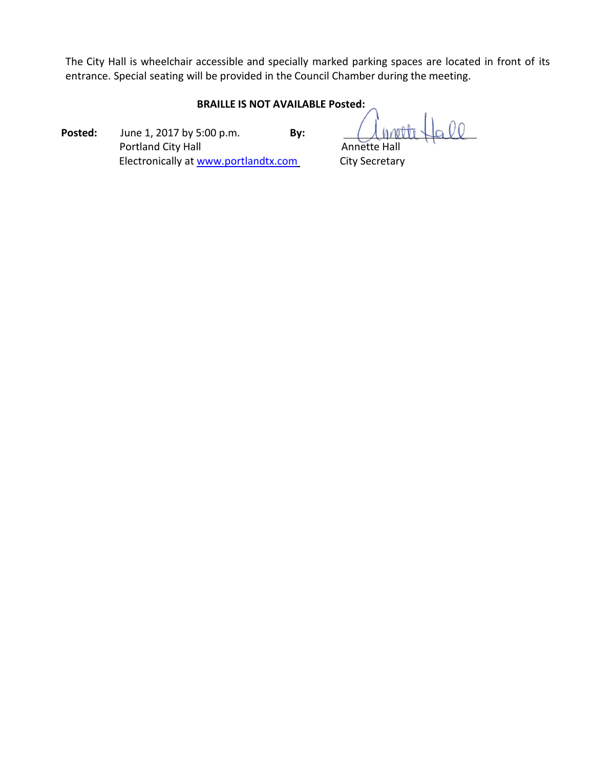The City Hall is wheelchair accessible and specially marked parking spaces are located in front of its entrance. Special seating will be provided in the Council Chamber during the meeting.

## **BRAILLE IS NOT AVAILABLE Posted:**

**Posted:** June 1, 2017 by 5:00 p.m. **By:** Portland City Hall **Annette Hall** Annette Hall Electronically at [www.portlandtx.com](http://www.portlandtx.com/) City Secretary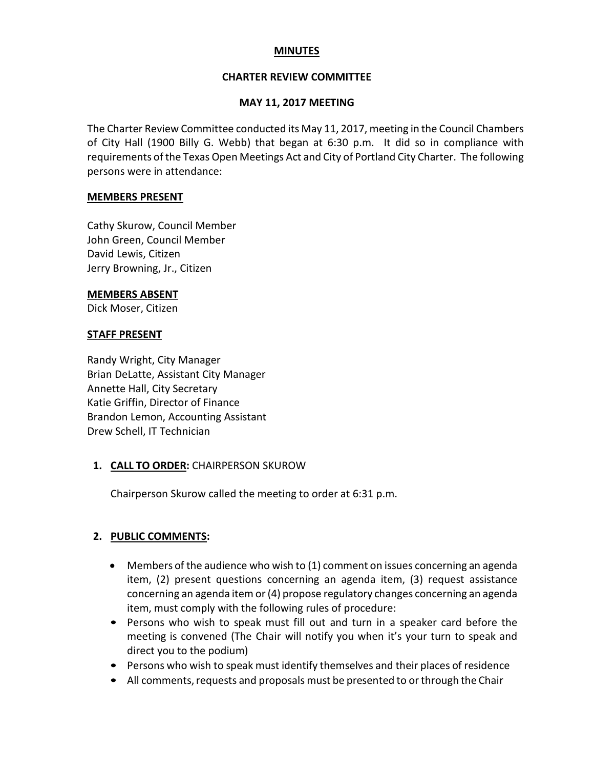## **MINUTES**

## **CHARTER REVIEW COMMITTEE**

## **MAY 11, 2017 MEETING**

The Charter Review Committee conducted its May 11, 2017, meeting in the Council Chambers of City Hall (1900 Billy G. Webb) that began at 6:30 p.m. It did so in compliance with requirements of the Texas Open Meetings Act and City of Portland City Charter. The following persons were in attendance:

#### **MEMBERS PRESENT**

Cathy Skurow, Council Member John Green, Council Member David Lewis, Citizen Jerry Browning, Jr., Citizen

#### **MEMBERS ABSENT**

Dick Moser, Citizen

#### **STAFF PRESENT**

Randy Wright, City Manager Brian DeLatte, Assistant City Manager Annette Hall, City Secretary Katie Griffin, Director of Finance Brandon Lemon, Accounting Assistant Drew Schell, IT Technician

## **1. CALL TO ORDER:** CHAIRPERSON SKUROW

Chairperson Skurow called the meeting to order at 6:31 p.m.

## **2. PUBLIC COMMENTS:**

- Members of the audience who wish to (1) comment on issues concerning an agenda item, (2) present questions concerning an agenda item, (3) request assistance concerning an agenda item or(4) propose regulatory changes concerning an agenda item, must comply with the following rules of procedure:
- Persons who wish to speak must fill out and turn in a speaker card before the meeting is convened (The Chair will notify you when it's your turn to speak and direct you to the podium)
- Persons who wish to speak must identify themselves and their places of residence
- All comments, requests and proposals must be presented to or through the Chair